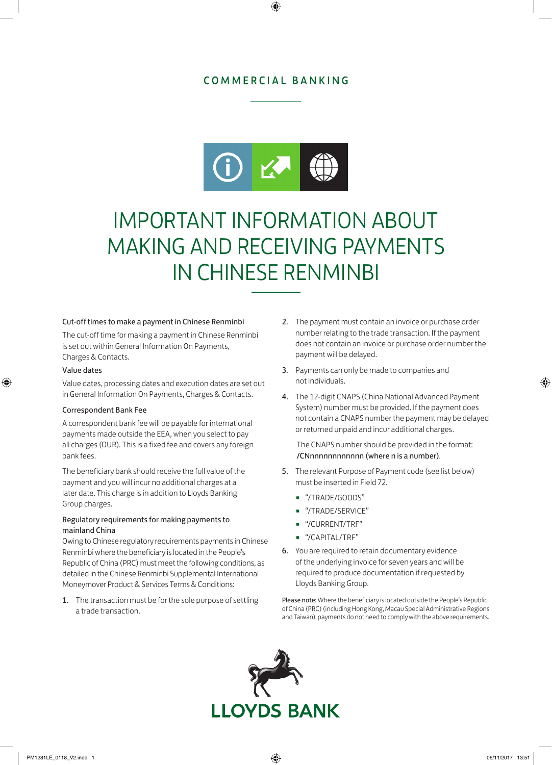## COMMERCIAL BANKING



# IMPORTANT INFORMATION ABOUT MAKING AND RECEIVING PAYMENTS IN CHINESE RENMINBI

#### Cut-off times to make a payment in Chinese Renminbi

The cut-off time for making a payment in Chinese Renminbi is set out within General Information On Payments, Charges & Contacts.

#### Value dates

Value dates, processing dates and execution dates are set out in General Information On Payments, Charges & Contacts.

#### Correspondent Bank Fee

A correspondent bank fee will be payable for international payments made outside the EEA, when you select to pay all charges (OUR). This is a fixed fee and covers any foreign bank fees.

The beneficiary bank should receive the full value of the payment and you will incur no additional charges at a later date. This charge is in addition to Lloyds Banking Group charges.

### Regulatory requirements for making payments to mainland China

Owing to Chinese regulatory requirements payments in Chinese Renminbi where the beneficiary is located in the People's Republic of China (PRC) must meet the following conditions, as detailed in the Chinese Renminbi Supplemental International Moneymover Product & Services Terms & Conditions:

1. The transaction must be for the sole purpose of settling a trade transaction.

- 2. The payment must contain an invoice or purchase order number relating to the trade transaction. If the payment does not contain an invoice or purchase order number the payment will be delayed.
- 3. Payments can only be made to companies and not individuals.
- 4. The 12-digit CNAPS (China National Advanced Payment System) number must be provided. If the payment does not contain a CNAPS number the payment may be delayed or returned unpaid and incur additional charges.

The CNAPS number should be provided in the format: /CNnnnnnnnnnnnn (where n is a number).

- 5. The relevant Purpose of Payment code (see list below) must be inserted in Field 72.
	- "/TRADE/GOODS"
	- "/TRADE/SERVICE"
	- "/CURRENT/TRF"
	- "/CAPITAL/TRF"
- 6. You are required to retain documentary evidence of the underlying invoice for seven years and will be required to produce documentation if requested by Lloyds Banking Group.

Please note: Where the beneficiary is located outside the People's Republic of China (PRC) (including Hong Kong, Macau Special Administrative Regions and Taiwan), payments do not need to comply with the above requirements.